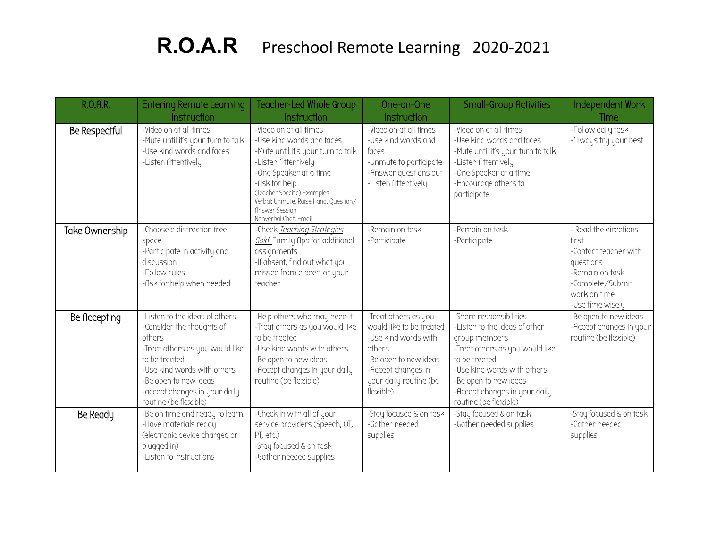## R.O.A.R Preschool Remote Learning 2020-2021

| <b>R.O.A.R.</b> | <b>Entering Remote Learning</b>                                                                                                                                                                                                             | Teacher-Led Whole Group                                                                                                                                                                                                                                                                | One-on-One                                                                                                                                                               | Small-Group Activities                                                                                                                                                                                                                          | Independent Work                                                                                                                                |
|-----------------|---------------------------------------------------------------------------------------------------------------------------------------------------------------------------------------------------------------------------------------------|----------------------------------------------------------------------------------------------------------------------------------------------------------------------------------------------------------------------------------------------------------------------------------------|--------------------------------------------------------------------------------------------------------------------------------------------------------------------------|-------------------------------------------------------------------------------------------------------------------------------------------------------------------------------------------------------------------------------------------------|-------------------------------------------------------------------------------------------------------------------------------------------------|
|                 | Instruction                                                                                                                                                                                                                                 | Instruction                                                                                                                                                                                                                                                                            | Instruction                                                                                                                                                              |                                                                                                                                                                                                                                                 | Time                                                                                                                                            |
| Be Respectful   | -Video on at all times<br>-Mute until it's your turn to talk<br>-Use kind words and faces<br>-Listen Attentively                                                                                                                            | -Video on at all times<br>-Use kind words and faces<br>-Mute until it's your turn to talk<br>-Listen Attentively<br>-One Speaker at a time<br>-Ask for help<br>(Teacher Specific) Examples<br>Verbal: Unmute, Raise Hand, Question/<br><b>Answer Session</b><br>Nonverbal: Chat, Email | -Video on at all times<br>-Use kind words and<br>faces<br>-Unmute to participate<br>-Answer questions out<br>-Listen Attentively                                         | -Video on at all times<br>-Use kind words and faces<br>-Mute until it's your turn to talk<br>-Listen Attentively<br>-One Speaker at a time<br>-Encourage others to<br>participate                                                               | -Follow daily task<br>-Always try your best                                                                                                     |
| Take Ownership  | -Choose a distraction free<br>space<br>-Participate in activity and<br>discussion<br>-Follow rules<br>-Ask for help when needed                                                                                                             | -Check Teaching Strategies<br>Gold Family App for additional<br>assignments<br>-If absent, find out what you<br>missed from a peer or your<br>teacher                                                                                                                                  | -Remain on task<br>-Participate                                                                                                                                          | -Remain on task<br>-Participate                                                                                                                                                                                                                 | - Read the directions<br>first<br>-Contact teacher with<br>questions<br>-Remain on task<br>-Complete/Submit<br>work on time<br>-Use time wisely |
| Be Accepting    | -Listen to the ideas of others<br>-Consider the thoughts of<br>others<br>-Treat others as you would like<br>to be treated<br>-Use kind words with others<br>-Be open to new ideas<br>-accept changes in your daily<br>routine (be flexible) | -Help others who may need it<br>-Treat others as you would like<br>to be treated<br>-Use kind words with others<br>-Be open to new ideas<br>-Accept changes in your daily<br>routine (be flexible)                                                                                     | -Treat others as you<br>would like to be treated<br>-Use kind words with<br>others<br>-Be open to new ideas<br>-Accept changes in<br>your daily routine (be<br>flexible) | -Share responsibilities<br>-Listen to the ideas of other<br>group members<br>-Treat others as you would like<br>to be treated<br>-Use kind words with others<br>-Be open to new ideas<br>-Accept changes in your daily<br>routine (be flexible) | -Be open to new ideas<br>-Accept changes in your<br>routine (be flexible)                                                                       |
| Be Ready        | -Be on time and ready to learn.<br>-Have materials ready<br>(electronic device charged or<br>plugged in)<br>-I isten to instructions                                                                                                        | -Check In with all of your<br>service providers (Speech, OT,<br>PT, etc.)<br>-Stay focused & on task<br>-Gather needed supplies                                                                                                                                                        | -Stay focused & on task<br>-Gather needed<br>supplies                                                                                                                    | -Stay focused & on task<br>-Gather needed supplies                                                                                                                                                                                              | -Stay focused & on task<br>-Gather needed<br>supplies                                                                                           |